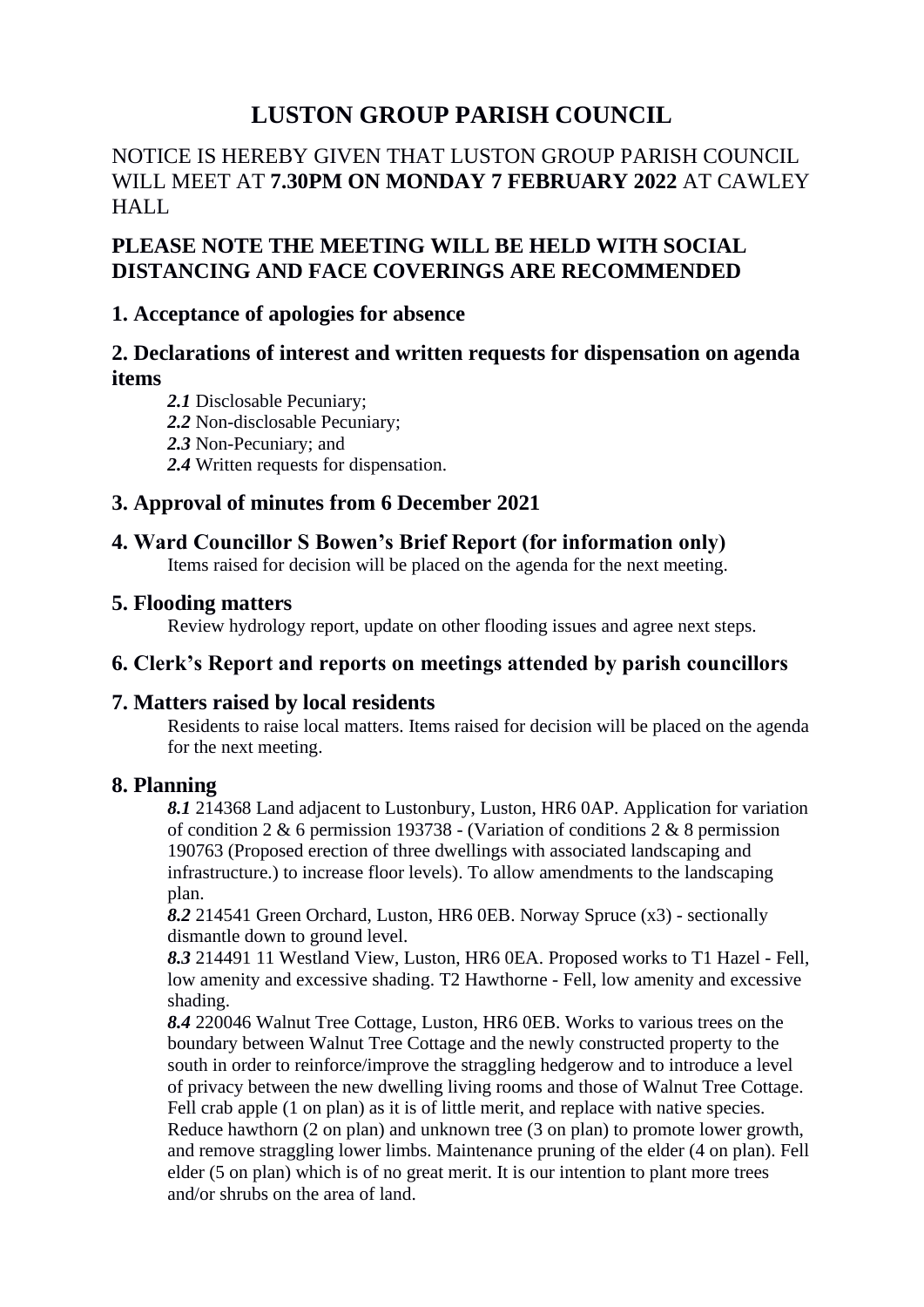# **LUSTON GROUP PARISH COUNCIL**

# NOTICE IS HEREBY GIVEN THAT LUSTON GROUP PARISH COUNCIL WILL MEET AT **7.30PM ON MONDAY 7 FEBRUARY 2022** AT CAWLEY HALL

# **PLEASE NOTE THE MEETING WILL BE HELD WITH SOCIAL DISTANCING AND FACE COVERINGS ARE RECOMMENDED**

## **1. Acceptance of apologies for absence**

# **2. Declarations of interest and written requests for dispensation on agenda items**

- *2.1* Disclosable Pecuniary;
- *2.2* Non-disclosable Pecuniary;
- *2.3* Non-Pecuniary; and
- *2.4* Written requests for dispensation.

# **3. Approval of minutes from 6 December 2021**

## **4. Ward Councillor S Bowen's Brief Report (for information only)**

Items raised for decision will be placed on the agenda for the next meeting.

#### **5. Flooding matters**

Review hydrology report, update on other flooding issues and agree next steps.

# **6. Clerk's Report and reports on meetings attended by parish councillors**

#### **7. Matters raised by local residents**

Residents to raise local matters. Items raised for decision will be placed on the agenda for the next meeting.

#### **8. Planning**

*8.1* 214368 Land adjacent to Lustonbury, Luston, HR6 0AP. Application for variation of condition 2  $\&$  6 permission 193738 - (Variation of conditions 2  $\&$  8 permission 190763 (Proposed erection of three dwellings with associated landscaping and infrastructure.) to increase floor levels). To allow amendments to the landscaping plan.

*8.2* 214541 Green Orchard, Luston, HR6 0EB. Norway Spruce (x3) - sectionally dismantle down to ground level.

*8.3* 214491 11 Westland View, Luston, HR6 0EA. Proposed works to T1 Hazel - Fell, low amenity and excessive shading. T2 Hawthorne - Fell, low amenity and excessive shading.

*8.4* 220046 Walnut Tree Cottage, Luston, HR6 0EB. Works to various trees on the boundary between Walnut Tree Cottage and the newly constructed property to the south in order to reinforce/improve the straggling hedgerow and to introduce a level of privacy between the new dwelling living rooms and those of Walnut Tree Cottage. Fell crab apple (1 on plan) as it is of little merit, and replace with native species. Reduce hawthorn (2 on plan) and unknown tree (3 on plan) to promote lower growth, and remove straggling lower limbs. Maintenance pruning of the elder (4 on plan). Fell elder (5 on plan) which is of no great merit. It is our intention to plant more trees and/or shrubs on the area of land.